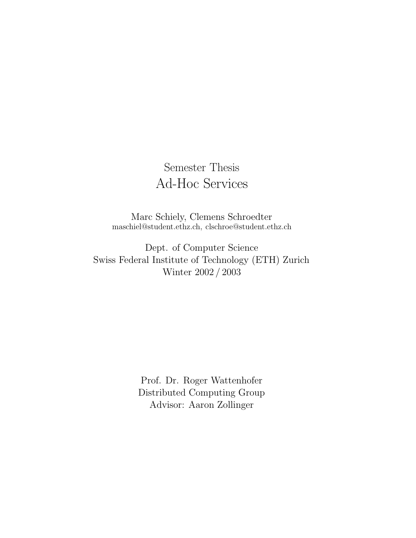### Semester Thesis Ad-Hoc Services

Marc Schiely, Clemens Schroedter maschiel@student.ethz.ch, clschroe@student.ethz.ch

Dept. of Computer Science Swiss Federal Institute of Technology (ETH) Zurich Winter 2002 / 2003

> Prof. Dr. Roger Wattenhofer Distributed Computing Group Advisor: Aaron Zollinger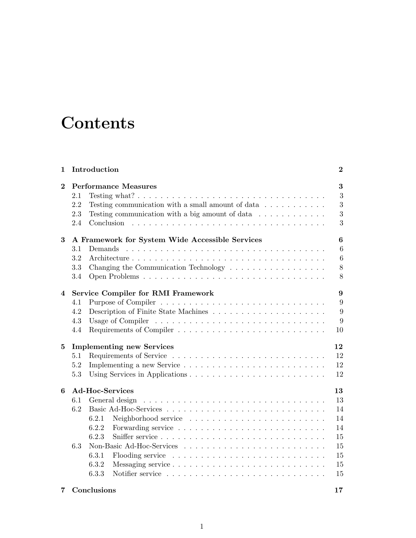## **Contents**

| $\mathbf{1}$ | Introduction                              |                                                                                                                                                                                          |                       |  |  |  |  |  |  |  |  |  |  |
|--------------|-------------------------------------------|------------------------------------------------------------------------------------------------------------------------------------------------------------------------------------------|-----------------------|--|--|--|--|--|--|--|--|--|--|
| $\bf{2}$     | 2.1<br>2.2<br>2.3<br>2.4                  | <b>Performance Measures</b><br>Testing communication with a small amount of data $\ldots \ldots \ldots$<br>Testing communication with a big amount of data $\ldots \ldots \ldots \ldots$ | 3<br>3<br>3<br>3<br>3 |  |  |  |  |  |  |  |  |  |  |
| 3            |                                           | A Framework for System Wide Accessible Services                                                                                                                                          |                       |  |  |  |  |  |  |  |  |  |  |
|              | 3.1                                       | Demands                                                                                                                                                                                  | 6                     |  |  |  |  |  |  |  |  |  |  |
|              | 3.2                                       |                                                                                                                                                                                          | $6\phantom{.}6$       |  |  |  |  |  |  |  |  |  |  |
|              | 3.3                                       | Changing the Communication Technology                                                                                                                                                    | $8\,$                 |  |  |  |  |  |  |  |  |  |  |
|              | $3.4\,$                                   |                                                                                                                                                                                          | 8                     |  |  |  |  |  |  |  |  |  |  |
| 4            | <b>Service Compiler for RMI Framework</b> |                                                                                                                                                                                          |                       |  |  |  |  |  |  |  |  |  |  |
|              | 4.1                                       |                                                                                                                                                                                          | 9                     |  |  |  |  |  |  |  |  |  |  |
|              | 4.2                                       |                                                                                                                                                                                          | 9                     |  |  |  |  |  |  |  |  |  |  |
|              | 4.3                                       |                                                                                                                                                                                          | 9                     |  |  |  |  |  |  |  |  |  |  |
|              | 4.4                                       |                                                                                                                                                                                          | 10                    |  |  |  |  |  |  |  |  |  |  |
| 5            |                                           | <b>Implementing new Services</b>                                                                                                                                                         | 12                    |  |  |  |  |  |  |  |  |  |  |
|              | 5.1                                       |                                                                                                                                                                                          | 12                    |  |  |  |  |  |  |  |  |  |  |
|              | 5.2                                       |                                                                                                                                                                                          | 12                    |  |  |  |  |  |  |  |  |  |  |
|              | 5.3                                       |                                                                                                                                                                                          | 12                    |  |  |  |  |  |  |  |  |  |  |
| 6            |                                           | <b>Ad-Hoc-Services</b>                                                                                                                                                                   | 13                    |  |  |  |  |  |  |  |  |  |  |
|              | 6.1                                       | General design                                                                                                                                                                           | 13                    |  |  |  |  |  |  |  |  |  |  |
|              | 6.2                                       |                                                                                                                                                                                          | 14                    |  |  |  |  |  |  |  |  |  |  |
|              |                                           | 6.2.1                                                                                                                                                                                    | 14                    |  |  |  |  |  |  |  |  |  |  |
|              |                                           | 6.2.2                                                                                                                                                                                    | 14                    |  |  |  |  |  |  |  |  |  |  |
|              |                                           | 6.2.3                                                                                                                                                                                    | 15                    |  |  |  |  |  |  |  |  |  |  |
|              | 6.3                                       |                                                                                                                                                                                          | 15                    |  |  |  |  |  |  |  |  |  |  |
|              |                                           | 6.3.1                                                                                                                                                                                    | 15                    |  |  |  |  |  |  |  |  |  |  |
|              |                                           | 6.3.2<br>Messaging service                                                                                                                                                               | 15                    |  |  |  |  |  |  |  |  |  |  |
|              |                                           | 6.3.3                                                                                                                                                                                    | 15                    |  |  |  |  |  |  |  |  |  |  |

#### 7 Conclusions 17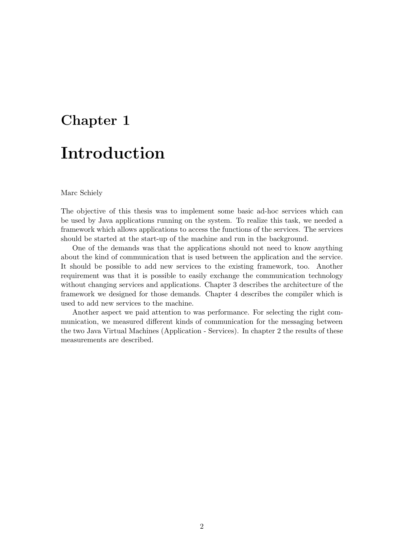# Chapter 1 Introduction

#### Marc Schiely

The objective of this thesis was to implement some basic ad-hoc services which can be used by Java applications running on the system. To realize this task, we needed a framework which allows applications to access the functions of the services. The services should be started at the start-up of the machine and run in the background.

One of the demands was that the applications should not need to know anything about the kind of communication that is used between the application and the service. It should be possible to add new services to the existing framework, too. Another requirement was that it is possible to easily exchange the communication technology without changing services and applications. Chapter 3 describes the architecture of the framework we designed for those demands. Chapter 4 describes the compiler which is used to add new services to the machine.

Another aspect we paid attention to was performance. For selecting the right communication, we measured different kinds of communication for the messaging between the two Java Virtual Machines (Application - Services). In chapter 2 the results of these measurements are described.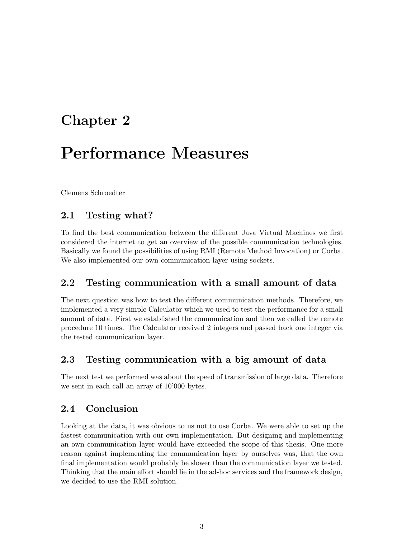## Performance Measures

Clemens Schroedter

#### 2.1 Testing what?

To find the best communication between the different Java Virtual Machines we first considered the internet to get an overview of the possible communication technologies. Basically we found the possibilities of using RMI (Remote Method Invocation) or Corba. We also implemented our own communication layer using sockets.

#### 2.2 Testing communication with a small amount of data

The next question was how to test the different communication methods. Therefore, we implemented a very simple Calculator which we used to test the performance for a small amount of data. First we established the communication and then we called the remote procedure 10 times. The Calculator received 2 integers and passed back one integer via the tested communication layer.

#### 2.3 Testing communication with a big amount of data

The next test we performed was about the speed of transmission of large data. Therefore we sent in each call an array of 10'000 bytes.

#### 2.4 Conclusion

Looking at the data, it was obvious to us not to use Corba. We were able to set up the fastest communication with our own implementation. But designing and implementing an own communication layer would have exceeded the scope of this thesis. One more reason against implementing the communication layer by ourselves was, that the own final implementation would probably be slower than the communication layer we tested. Thinking that the main effort should lie in the ad-hoc services and the framework design, we decided to use the RMI solution.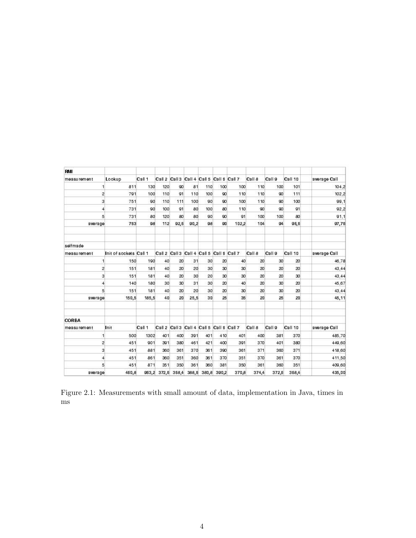| <b>RMI</b>     |                        |        |                                           |        |               |                             |               |       |        |        |         |              |
|----------------|------------------------|--------|-------------------------------------------|--------|---------------|-----------------------------|---------------|-------|--------|--------|---------|--------------|
| measurement    | Lookup                 | Call 1 | Call2                                     | Call 3 | Call 4 Call 5 |                             | Call 5 Call 7 |       | Call 8 | Call 9 | Call 10 | average Call |
| 1              | 811                    | 130    | 120                                       | 90     | 81            | 110                         | 100           | 100   | 110    | 100    | 101     | 104.2        |
| $\overline{c}$ | 791                    | 100    | 110                                       | 91     | 110           | 100                         | 90            | 110   | 110    | 90     | 111     | 102,2        |
| 3              | 751                    | 90     | 110                                       | 111    | 100           | 90                          | 90            | 100   | 110    | 90     | 100     | 99.1         |
| $\overline{4}$ | 731                    | ga     | 100                                       | 91     | 80            | 100                         | 80            | 110   | 90     | 90     | 91      | 92,2         |
| 5              | 731                    | 80     | 120                                       | 80     | 80            | 90                          | 90            | 91    | 100    | 100    | 80      | 91,1         |
| average        | 763                    | 98     | 112                                       | 92.6   | 90,2          | 98                          | 90            | 102,2 | 104    | 94     | 96,6    | 97,76        |
| selfmade       |                        |        |                                           |        |               |                             |               |       |        |        |         |              |
| measurement    | Init of sockets Call 1 |        | Call 2 Call 3 Call 4 Call 5 Call 6 Call 7 |        |               |                             |               |       | Call 8 | Call 9 | Call 10 | average Call |
| 1              | 150                    | 190    | 40                                        | 20     | 31            | 30                          | 20            | 40    | 20     | 30     | 20      | 46.78        |
| $\overline{c}$ | 151                    | 181    | 40                                        | 20     | 20            | 30                          | 30            | 30    | 20     | 20     | 20      | 43,44        |
| 3              | 151                    | 181    | 40                                        | 20     | 30            | 20                          | 30            | 30    | 20     | 20     | 30      | 43,44        |
| $\overline{4}$ | 140                    | 180    | 30                                        | 30     | 31            | 30                          | 20            | 40    | 20     | 30     | 20      | 45,67        |
| 5              | 151                    | 181    | 40                                        | 20     | 20            | 30                          | 20            | 30    | 20     | 30     | 20      | 43,44        |
| average        | 150,5                  | 185,5  | 40                                        | 20     | 25,5          | 30                          | 25            | 35    | 20     | 25     | 20      | 45,11        |
| <b>CORBA</b>   |                        |        |                                           |        |               |                             |               |       |        |        |         |              |
| measurement    | Init                   | Call 1 | Call 2 Call 3                             |        |               | Call 4 Call 5 Call 6 Call 7 |               |       | Call 8 | Call 9 | Call 10 | average Call |
| $\mathbf{1}$   | 500                    | 1302   | 401                                       | 400    | 391           | 401                         | 410           | 401   | 400    | 381    | 370     | 485,70       |
| $\overline{c}$ | 451                    | 901    | 391                                       | 380    | 461           | 421                         | 400           | 391   | 370    | 401    | 380     | 449.60       |
| 3              | 451                    | 881    | 360                                       | 361    | 370           | 361                         | 390           | 361   | 371    | 360    | 371     | 418,60       |
| $\overline{4}$ | 451                    | 861    | 360                                       | 351    | 360           | 361                         | 370           | 351   | 370    | 361    | 370     | 411,50       |
| 5              | 451                    | 871    | 351                                       | 350    | 361           | 360                         | 381           | 350   | 361    | 360    | 351     | 409,60       |
| average        | 460.8                  | 963,2  | 372,6                                     | 368,4  | 388,5         | 380,8                       | 390,2         | 370,8 | 374,4  | 372,6  | 368,4   | 435,00       |

Figure 2.1: Measurements with small amount of data, implementation in Java, times in ms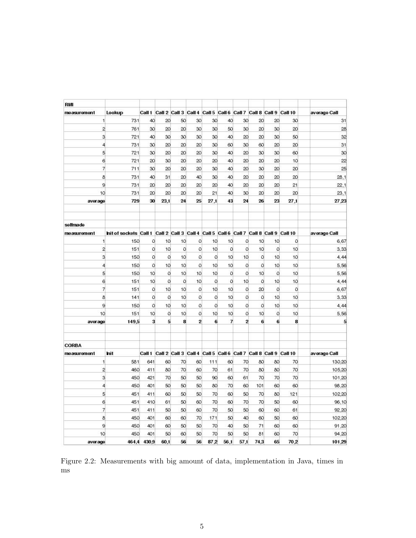| RMI            |                        |         |      |                 |    |         |                |                |      |                                                         |                                                                 |              |
|----------------|------------------------|---------|------|-----------------|----|---------|----------------|----------------|------|---------------------------------------------------------|-----------------------------------------------------------------|--------------|
| measurement    | Lookup                 | Call 1  |      |                 |    |         |                |                |      | Call 2 Call 3 Call 4 Call 5 Call 6 Call 7 Call 8 Call 9 | Call 10                                                         | average Call |
| 1              | 731                    | 40      | 20   | 50              | 30 | 30      | 40             | 30             | 20   | 20                                                      | 30                                                              | 31           |
| $\overline{a}$ | 761                    | 30      | 20   | 20              | 30 | 30      | 50             | 30             | 20   | 30                                                      | 20                                                              | 28           |
| 3              | 721                    | 40      | 30   | 30              | 30 | 30      | 40             | 20             | 20   | 30                                                      | 50                                                              | 32           |
| $\overline{4}$ | 731                    | 30      | 20   | 20              | 20 | 30      | 60             | 30             | 60   | 20                                                      | 20                                                              | 31           |
| 5              | 721                    | 30      | 20   | 20              | 20 | 30      | 40             | 20             | 30   | 30                                                      | 60                                                              | 30           |
| 6              | 721                    | 20      | 30   | 20              | 20 | 20      | 40             | 20             | 20   | 20                                                      | 10                                                              | 22           |
| 7              | 711                    | 30      | 20   | 20              | 20 | 30      | 40             | 20             | 30   | 20                                                      | 20                                                              | 25           |
| 8              | 731                    | 40      | 31   | 20              | 40 | 30      | 40             | 20             | 20   | 20                                                      | 20                                                              | 28,1         |
| 9              | 731                    | 20      | 20   | 20              | 20 | 20      | 40             | 20             | 20   | 20                                                      | 21                                                              | 22,1         |
| 10             | 731                    | 20      | 20   | 20              | 20 | 21      | 40             | 30             | 20   | 20                                                      | 20                                                              | 23,1         |
| aver age       | 729                    | 30      | 23,1 | 24              | 25 | 27.1    | 43             | 24             | 26   | 23                                                      | 27,1                                                            | 27,23        |
| selfmade       |                        |         |      |                 |    |         |                |                |      |                                                         |                                                                 |              |
| measurement    | Init of sockets Call 1 |         |      |                 |    |         |                |                |      |                                                         | Call 2 Call 3 Call 4 Call 5 Call 6 Call 7 Call 8 Call 9 Call 10 | average Call |
| 1              | 150                    | 0       | 10   | 10              | ٥  | 10      | 10             | ٥              | 10   | 10                                                      | ٥                                                               | 6,67         |
| $\overline{c}$ | 151                    | $\circ$ | 10   | $\circ$         | O  | 10      | $\circ$        | $\circ$        | 10   | $\circ$                                                 | 10                                                              | 3,33         |
| 3              | 150                    | o       | O    | 10              | O  | $\circ$ | 10             | 10             | O    | 10                                                      | 10                                                              | 4,44         |
| $\overline{4}$ | 150                    | O       | 10   | 10              | ٥  | 10      | 10             | O              | O    | 10                                                      | 10                                                              | 5,56         |
| 5              | 150                    | 10      | o    | 10              | 10 | 10      | O              | O              | 10   | 0                                                       | 10                                                              | 5,56         |
| 6              | 151                    | 10      | ٥    | ٥               | 10 | O       | ٥              | 10             | a    | 10                                                      | 10                                                              | 4,44         |
| $\overline{7}$ | 151                    | $\circ$ | 10   | 10              | 0  | 10      | 10             | O              | 20   | O                                                       | O                                                               | 6,67         |
| 8              | 141                    | O       | O    | 10 <sup>1</sup> | O  | $\circ$ | 10             | $\circ$        | O    | 10                                                      | 10                                                              | 3,33         |
| 9              | 150                    | $\circ$ | 10   | 10              | 0  | O       | 10             | O              | O    | 10                                                      | 10                                                              | 4,44         |
| 10             | 151                    | 10      | O    | 10              | ٥  | 10      | 10             | O              | 10   | $\circ$                                                 | 10                                                              | 5,56         |
| average        | 149,5                  | з       | 5    | 8               | 2  | 6       | $\overline{7}$ | $\overline{2}$ | 6    | 6                                                       | 8                                                               | 5            |
| CORBA          |                        |         |      |                 |    |         |                |                |      |                                                         |                                                                 |              |
| measurement    | <b>Init</b>            | Call 1  |      |                 |    |         |                |                |      |                                                         | Call 2 Call 3 Call 4 Call 5 Call 6 Call 7 Call 8 Call 9 Call 10 | average Call |
| 1              | 581                    | 641     | 60   | 70              | 60 | 111     | 60             | 70             | 80   | 80                                                      | 70                                                              | 130,20       |
| $\overline{c}$ | 460                    | 411     | 80   | 70              | 60 | 70      | 61             | 70             | 80   | 80                                                      | 70                                                              | 105,20       |
| 3              | 450                    | 421     | 70   | 50              | 50 | $_{90}$ | 60             | 61             | 70   | 70                                                      | 70                                                              | 101,20       |
| $\overline{4}$ | 450                    | 401     | 50   | 50              | 50 | 80      | 70             | 60             | 101  | 60                                                      | 60                                                              | 98,20        |
| 5              | 451                    | 411     | 60   | 50              | 50 | 70      | 60             | 50             | 70   | 80                                                      | 121                                                             | 102,20       |
| 6              | 451                    | 410     | 61   | 50              | 60 | 70      | 60             | 70             | 70   | 50                                                      | 60                                                              | 96,10        |
| $\overline{7}$ | 451                    | 411     | 50   | 50              | 60 | 70      | 50             | 50             | 60   | 60                                                      | 61                                                              | 92,20        |
| 8              | 450                    | 401     | 60   | 60              | 70 | 171     | 50             | 40             | 60   | 50                                                      | 60                                                              | 102,20       |
| 9              | 450                    | 401     | 60   | 50              | 50 | 70      | 40             | 50             | 71   | 60                                                      | 60                                                              | 91,20        |
| 10             | 450                    | 401     | 50   | 60              | 50 | 70      | 50             | 50             | 81   | 60                                                      | 70                                                              | 94,20        |
| aver age       | 464.4                  | 430.9   | 60.1 | 56              | 56 | 87.2    | 56.1           | 57.1           | 74.3 | 65                                                      | 70.2                                                            | 101,29       |

Figure 2.2: Measurements with big amount of data, implementation in Java, times in ms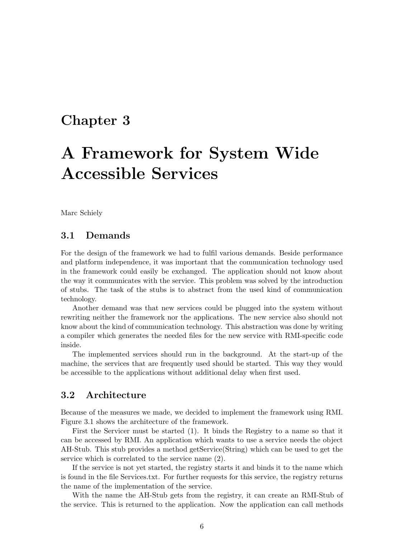## A Framework for System Wide Accessible Services

Marc Schiely

#### 3.1 Demands

For the design of the framework we had to fulfil various demands. Beside performance and platform independence, it was important that the communication technology used in the framework could easily be exchanged. The application should not know about the way it communicates with the service. This problem was solved by the introduction of stubs. The task of the stubs is to abstract from the used kind of communication technology.

Another demand was that new services could be plugged into the system without rewriting neither the framework nor the applications. The new service also should not know about the kind of communication technology. This abstraction was done by writing a compiler which generates the needed files for the new service with RMI-specific code inside.

The implemented services should run in the background. At the start-up of the machine, the services that are frequently used should be started. This way they would be accessible to the applications without additional delay when first used.

#### 3.2 Architecture

Because of the measures we made, we decided to implement the framework using RMI. Figure 3.1 shows the architecture of the framework.

First the Servicer must be started (1). It binds the Registry to a name so that it can be accessed by RMI. An application which wants to use a service needs the object AH-Stub. This stub provides a method getService(String) which can be used to get the service which is correlated to the service name (2).

If the service is not yet started, the registry starts it and binds it to the name which is found in the file Services.txt. For further requests for this service, the registry returns the name of the implementation of the service.

With the name the AH-Stub gets from the registry, it can create an RMI-Stub of the service. This is returned to the application. Now the application can call methods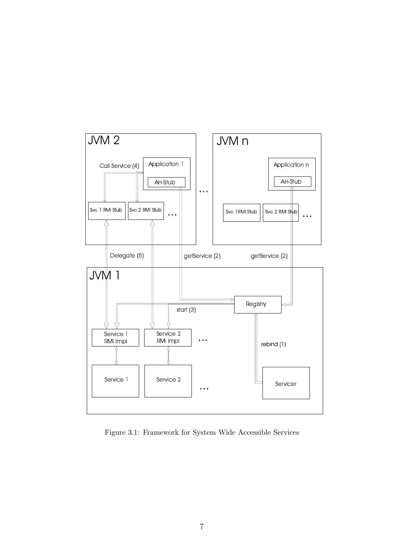

Figure 3.1: Framework for System Wide Accessible Services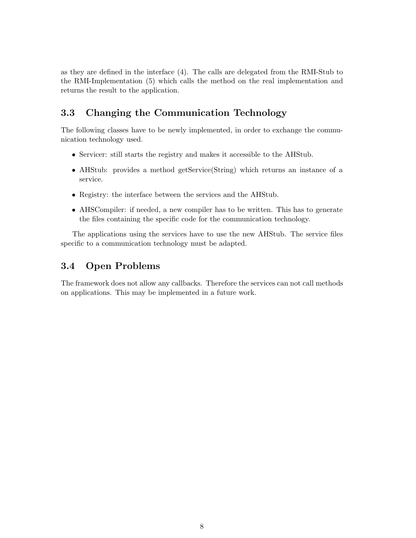as they are defined in the interface (4). The calls are delegated from the RMI-Stub to the RMI-Implementation (5) which calls the method on the real implementation and returns the result to the application.

#### 3.3 Changing the Communication Technology

The following classes have to be newly implemented, in order to exchange the communication technology used.

- Servicer: still starts the registry and makes it accessible to the AHStub.
- AHStub: provides a method getService(String) which returns an instance of a service.
- Registry: the interface between the services and the AHStub.
- AHSCompiler: if needed, a new compiler has to be written. This has to generate the files containing the specific code for the communication technology.

The applications using the services have to use the new AHStub. The service files specific to a communication technology must be adapted.

#### 3.4 Open Problems

The framework does not allow any callbacks. Therefore the services can not call methods on applications. This may be implemented in a future work.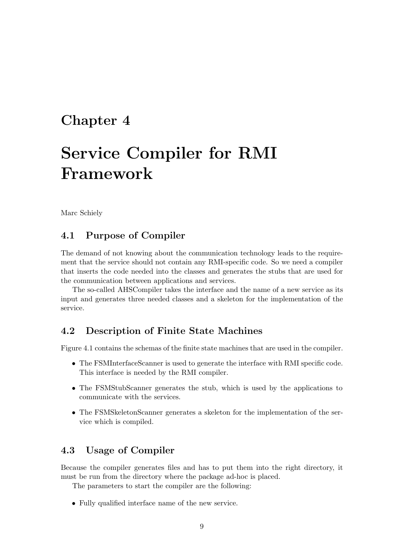## Service Compiler for RMI Framework

Marc Schiely

#### 4.1 Purpose of Compiler

The demand of not knowing about the communication technology leads to the requirement that the service should not contain any RMI-specific code. So we need a compiler that inserts the code needed into the classes and generates the stubs that are used for the communication between applications and services.

The so-called AHSCompiler takes the interface and the name of a new service as its input and generates three needed classes and a skeleton for the implementation of the service.

#### 4.2 Description of Finite State Machines

Figure 4.1 contains the schemas of the finite state machines that are used in the compiler.

- The FSMInterfaceScanner is used to generate the interface with RMI specific code. This interface is needed by the RMI compiler.
- The FSMStubScanner generates the stub, which is used by the applications to communicate with the services.
- The FSMSkeletonScanner generates a skeleton for the implementation of the service which is compiled.

#### 4.3 Usage of Compiler

Because the compiler generates files and has to put them into the right directory, it must be run from the directory where the package ad-hoc is placed.

The parameters to start the compiler are the following:

• Fully qualified interface name of the new service.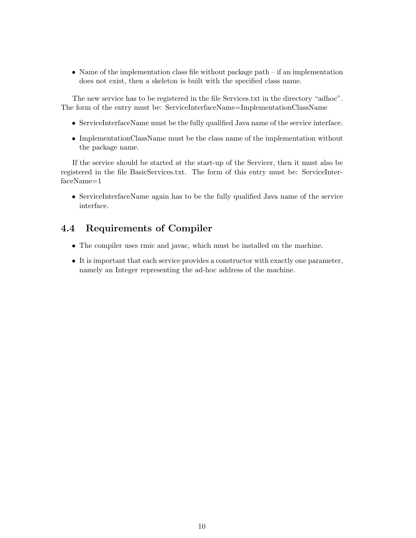• Name of the implementation class file without package path – if an implementation does not exist, then a skeleton is built with the specified class name.

The new service has to be registered in the file Services.txt in the directory "adhoc". The form of the entry must be: ServiceInterfaceName=ImplementationClassName

- ServiceInterfaceName must be the fully qualified Java name of the service interface.
- ImplementationClassName must be the class name of the implementation without the package name.

If the service should be started at the start-up of the Servicer, then it must also be registered in the file BasicServices.txt. The form of this entry must be: ServiceInterfaceName=1

• ServiceInterfaceName again has to be the fully qualified Java name of the service interface.

#### 4.4 Requirements of Compiler

- The compiler uses rmic and javac, which must be installed on the machine.
- It is important that each service provides a constructor with exactly one parameter, namely an Integer representing the ad-hoc address of the machine.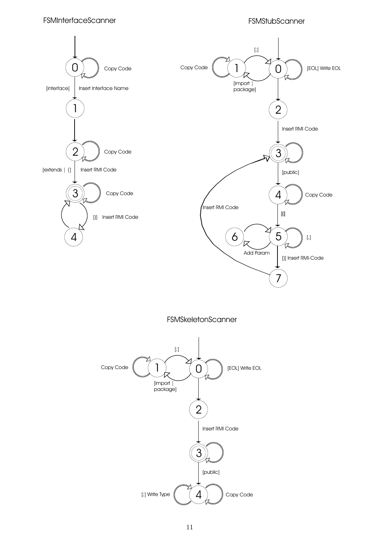#### **FSMStubScanner**

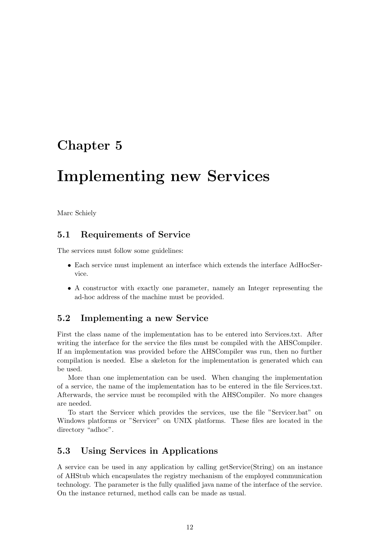## Implementing new Services

Marc Schiely

#### 5.1 Requirements of Service

The services must follow some guidelines:

- Each service must implement an interface which extends the interface AdHocService.
- A constructor with exactly one parameter, namely an Integer representing the ad-hoc address of the machine must be provided.

#### 5.2 Implementing a new Service

First the class name of the implementation has to be entered into Services.txt. After writing the interface for the service the files must be compiled with the AHSCompiler. If an implementation was provided before the AHSCompiler was run, then no further compilation is needed. Else a skeleton for the implementation is generated which can be used.

More than one implementation can be used. When changing the implementation of a service, the name of the implementation has to be entered in the file Services.txt. Afterwards, the service must be recompiled with the AHSCompiler. No more changes are needed.

To start the Servicer which provides the services, use the file "Servicer.bat" on Windows platforms or "Servicer" on UNIX platforms. These files are located in the directory "adhoc".

#### 5.3 Using Services in Applications

A service can be used in any application by calling getService(String) on an instance of AHStub which encapsulates the registry mechanism of the employed communication technology. The parameter is the fully qualified java name of the interface of the service. On the instance returned, method calls can be made as usual.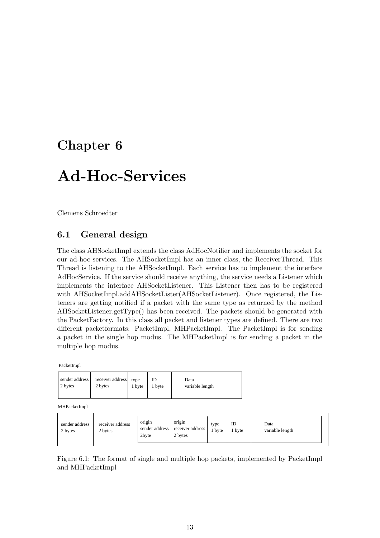## Ad-Hoc-Services

Clemens Schroedter

#### 6.1 General design

The class AHSocketImpl extends the class AdHocNotifier and implements the socket for our ad-hoc services. The AHSocketImpl has an inner class, the ReceiverThread. This Thread is listening to the AHSocketImpl. Each service has to implement the interface AdHocService. If the service should receive anything, the service needs a Listener which implements the interface AHSocketListener. This Listener then has to be registered with AHSocketImpl.addAHSocketLister(AHSocketListener). Once registered, the Listeners are getting notified if a packet with the same type as returned by the method AHSocketListener.getType() has been received. The packets should be generated with the PacketFactory. In this class all packet and listener types are defined. There are two different packetformats: PacketImpl, MHPacketImpl. The PacketImpl is for sending a packet in the single hop modus. The MHPacketImpl is for sending a packet in the multiple hop modus.

PacketImpl

| sender address | receiver address | type   | ID     | Data            |
|----------------|------------------|--------|--------|-----------------|
| 2 bytes        | 2 bytes          | 1 byte | 1 byte | variable length |

MHPacketImpl

| sender address<br>2 bytes | receiver address<br>2 bytes | . .<br>origin<br>sender address<br>2byte | origin<br>receiver address<br>2 bytes | type<br>bvte | ID<br>byte | Data<br>variable length |  |
|---------------------------|-----------------------------|------------------------------------------|---------------------------------------|--------------|------------|-------------------------|--|
|                           |                             |                                          |                                       |              |            |                         |  |

Figure 6.1: The format of single and multiple hop packets, implemented by PacketImpl and MHPacketImpl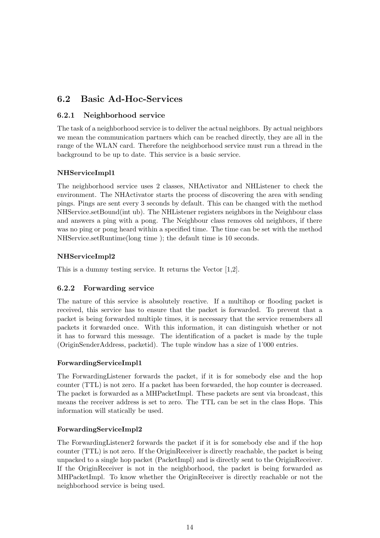#### 6.2 Basic Ad-Hoc-Services

#### 6.2.1 Neighborhood service

The task of a neighborhood service is to deliver the actual neighbors. By actual neighbors we mean the communication partners which can be reached directly, they are all in the range of the WLAN card. Therefore the neighborhood service must run a thread in the background to be up to date. This service is a basic service.

#### NHServiceImpl1

The neighborhood service uses 2 classes, NHActivator and NHListener to check the environment. The NHActivator starts the process of discovering the area with sending pings. Pings are sent every 3 seconds by default. This can be changed with the method NHService.setBound(int ub). The NHListener registers neighbors in the Neighbour class and answers a ping with a pong. The Neighbour class removes old neighbors, if there was no ping or pong heard within a specified time. The time can be set with the method NHService.setRuntime(long time ); the default time is 10 seconds.

#### NHServiceImpl2

This is a dummy testing service. It returns the Vector [1,2].

#### 6.2.2 Forwarding service

The nature of this service is absolutely reactive. If a multihop or flooding packet is received, this service has to ensure that the packet is forwarded. To prevent that a packet is being forwarded multiple times, it is necessary that the service remembers all packets it forwarded once. With this information, it can distinguish whether or not it has to forward this message. The identification of a packet is made by the tuple (OriginSenderAddress, packetid). The tuple window has a size of 1'000 entries.

#### ForwardingServiceImpl1

The ForwardingListener forwards the packet, if it is for somebody else and the hop counter (TTL) is not zero. If a packet has been forwarded, the hop counter is decreased. The packet is forwarded as a MHPacketImpl. These packets are sent via broadcast, this means the receiver address is set to zero. The TTL can be set in the class Hops. This information will statically be used.

#### ForwardingServiceImpl2

The ForwardingListener2 forwards the packet if it is for somebody else and if the hop counter (TTL) is not zero. If the OriginReceiver is directly reachable, the packet is being unpacked to a single hop packet (PacketImpl) and is directly sent to the OriginReceiver. If the OriginReceiver is not in the neighborhood, the packet is being forwarded as MHPacketImpl. To know whether the OriginReceiver is directly reachable or not the neighborhood service is being used.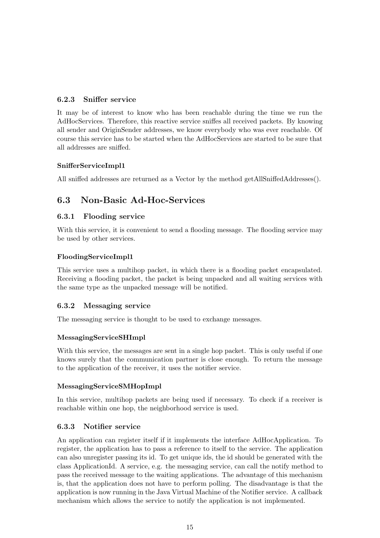#### 6.2.3 Sniffer service

It may be of interest to know who has been reachable during the time we run the AdHocServices. Therefore, this reactive service sniffes all received packets. By knowing all sender and OriginSender addresses, we know everybody who was ever reachable. Of course this service has to be started when the AdHocServices are started to be sure that all addresses are sniffed.

#### SnifferServiceImpl1

All sniffed addresses are returned as a Vector by the method getAllSniffedAddresses().

#### 6.3 Non-Basic Ad-Hoc-Services

#### 6.3.1 Flooding service

With this service, it is convenient to send a flooding message. The flooding service may be used by other services.

#### FloodingServiceImpl1

This service uses a multihop packet, in which there is a flooding packet encapsulated. Receiving a flooding packet, the packet is being unpacked and all waiting services with the same type as the unpacked message will be notified.

#### 6.3.2 Messaging service

The messaging service is thought to be used to exchange messages.

#### MessagingServiceSHImpl

With this service, the messages are sent in a single hop packet. This is only useful if one knows surely that the communication partner is close enough. To return the message to the application of the receiver, it uses the notifier service.

#### MessagingServiceSMHopImpl

In this service, multihop packets are being used if necessary. To check if a receiver is reachable within one hop, the neighborhood service is used.

#### 6.3.3 Notifier service

An application can register itself if it implements the interface AdHocApplication. To register, the application has to pass a reference to itself to the service. The application can also unregister passing its id. To get unique ids, the id should be generated with the class ApplicationId. A service, e.g. the messaging service, can call the notify method to pass the received message to the waiting applications. The advantage of this mechanism is, that the application does not have to perform polling. The disadvantage is that the application is now running in the Java Virtual Machine of the Notifier service. A callback mechanism which allows the service to notify the application is not implemented.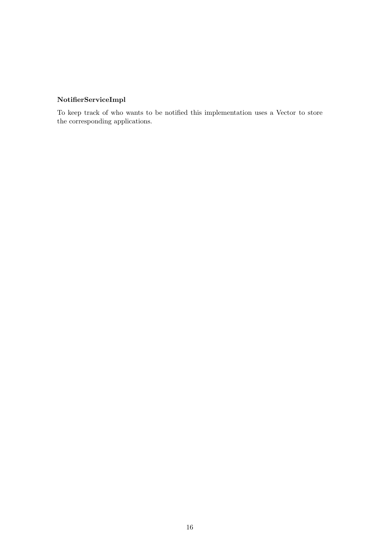#### NotifierServiceImpl

To keep track of who wants to be notified this implementation uses a Vector to store the corresponding applications.